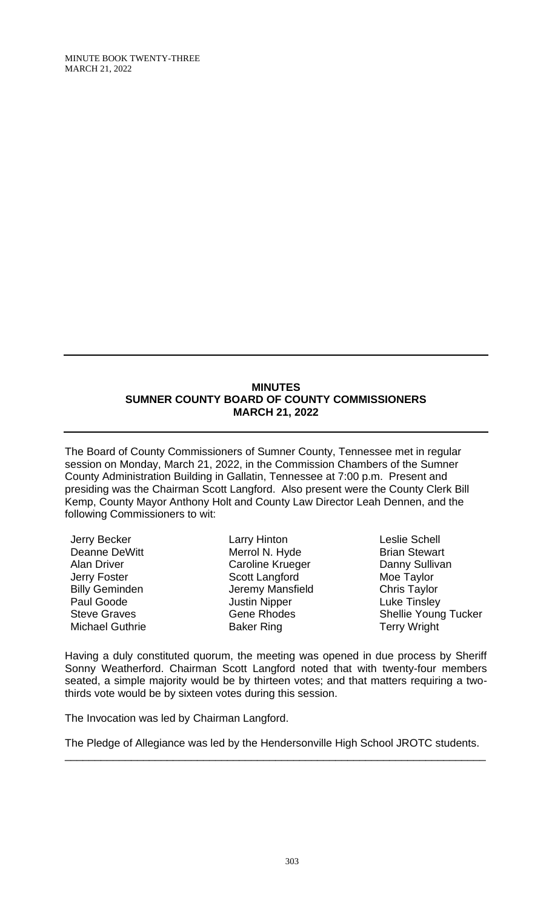MINUTE BOOK TWENTY-THREE MARCH 21, 2022

## **MINUTES SUMNER COUNTY BOARD OF COUNTY COMMISSIONERS MARCH 21, 2022**

The Board of County Commissioners of Sumner County, Tennessee met in regular session on Monday, March 21, 2022, in the Commission Chambers of the Sumner County Administration Building in Gallatin, Tennessee at 7:00 p.m. Present and presiding was the Chairman Scott Langford. Also present were the County Clerk Bill Kemp, County Mayor Anthony Holt and County Law Director Leah Dennen, and the following Commissioners to wit:

Jerry Becker Deanne DeWitt Alan Driver Jerry Foster Billy Geminden Paul Goode Steve Graves Michael Guthrie

Larry Hinton Merrol N. Hyde Caroline Krueger Scott Langford Jeremy Mansfield Justin Nipper Gene Rhodes Baker Ring

Leslie Schell Brian Stewart Danny Sullivan Moe Taylor Moe Taylor<br>Chris Taylor Luke Tinsley Shellie Young Tucker Terry Wright

Having a duly constituted quorum, the meeting was opened in due process by Sheriff Sonny Weatherford. Chairman Scott Langford noted that with twenty-four members seated, a simple majority would be by thirteen votes; and that matters requiring a twothirds vote would be by sixteen votes during this session.

The Invocation was led by Chairman Langford.

The Pledge of Allegiance was led by the Hendersonville High School JROTC students. \_\_\_\_\_\_\_\_\_\_\_\_\_\_\_\_\_\_\_\_\_\_\_\_\_\_\_\_\_\_\_\_\_\_\_\_\_\_\_\_\_\_\_\_\_\_\_\_\_\_\_\_\_\_\_\_\_\_\_\_\_\_\_\_\_\_\_\_\_\_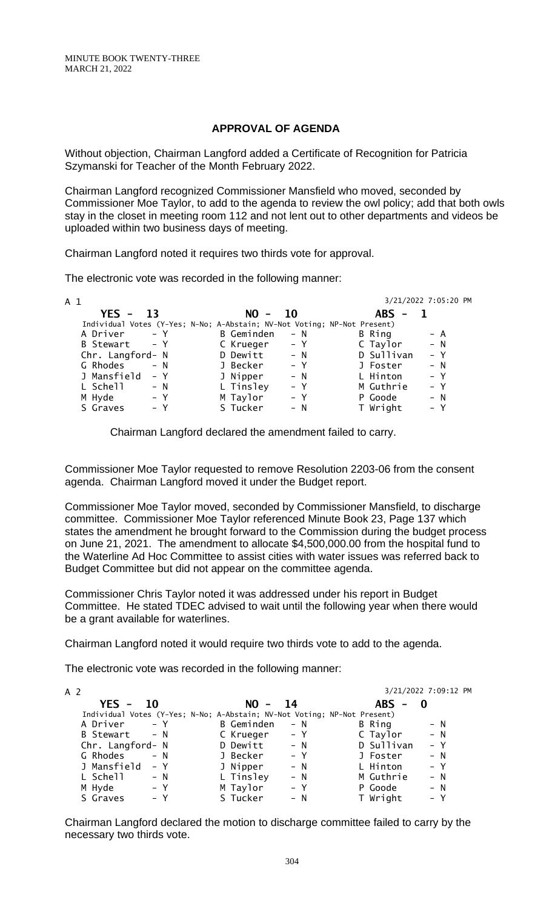### **APPROVAL OF AGENDA**

Without objection, Chairman Langford added a Certificate of Recognition for Patricia Szymanski for Teacher of the Month February 2022.

Chairman Langford recognized Commissioner Mansfield who moved, seconded by Commissioner Moe Taylor, to add to the agenda to review the owl policy; add that both owls stay in the closet in meeting room 112 and not lent out to other departments and videos be uploaded within two business days of meeting.

Chairman Langford noted it requires two thirds vote for approval.

The electronic vote was recorded in the following manner:

| A 1                                                                      |                     |            | 3/21/2022 7:05:20 PM |
|--------------------------------------------------------------------------|---------------------|------------|----------------------|
| $YES - 13$                                                               | $NO -$<br>- 10      | $ABS -$    |                      |
| Individual Votes (Y-Yes; N-No; A-Abstain; NV-Not Voting; NP-Not Present) |                     |            |                      |
| A Driver - Y                                                             | B Geminden<br>$- N$ | B Ring     | $- A$                |
| B Stewart - Y                                                            | C Krueger<br>$- Y$  | C Taylor   | $- N$                |
| Chr. Langford- N                                                         | D Dewitt<br>$- N$   | D Sullivan | $- Y$                |
| G Rhodes - N                                                             | $- Y$<br>J Becker   | J Foster   | $- N$                |
| J Mansfield - Y                                                          | J Nipper<br>$- N$   | L Hinton   | $- Y$                |
| L Schell<br>$- N$                                                        | L Tinsley<br>$- Y$  | M Guthrie  | $- Y$                |
| M Hyde<br>$- Y$                                                          | M Taylor<br>$- Y$   | P Goode    | $- N$                |
| S Graves<br>$- Y$                                                        | S Tucker<br>$- N$   | T Wright   | $- Y$                |

Chairman Langford declared the amendment failed to carry.

Commissioner Moe Taylor requested to remove Resolution 2203-06 from the consent agenda. Chairman Langford moved it under the Budget report.

Commissioner Moe Taylor moved, seconded by Commissioner Mansfield, to discharge committee. Commissioner Moe Taylor referenced Minute Book 23, Page 137 which states the amendment he brought forward to the Commission during the budget process on June 21, 2021. The amendment to allocate \$4,500,000.00 from the hospital fund to the Waterline Ad Hoc Committee to assist cities with water issues was referred back to Budget Committee but did not appear on the committee agenda.

Commissioner Chris Taylor noted it was addressed under his report in Budget Committee. He stated TDEC advised to wait until the following year when there would be a grant available for waterlines.

Chairman Langford noted it would require two thirds vote to add to the agenda.

The electronic vote was recorded in the following manner:

| A 2 |                  |           |                                                                          |       |                                            | 3/21/2022 7:09:12 PM |  |  |
|-----|------------------|-----------|--------------------------------------------------------------------------|-------|--------------------------------------------|----------------------|--|--|
|     | $YES -$          | <b>10</b> | $NO -$                                                                   | - 14  | <b>ABS</b><br>$\qquad \qquad \blacksquare$ |                      |  |  |
|     |                  |           | Individual Votes (Y-Yes; N-No; A-Abstain; NV-Not Voting; NP-Not Present) |       |                                            |                      |  |  |
|     | A Driver         | – Y       | <b>B</b> Geminden                                                        | $- N$ | B Ring                                     | $- N$                |  |  |
|     | B Stewart        | $- N$     | C Krueger                                                                | $- Y$ | C Taylor                                   | $- N$                |  |  |
|     | Chr. Langford- N |           | D Dewitt                                                                 | $- N$ | D Sullivan                                 | $- Y$                |  |  |
|     | G Rhodes         | $- N$     | J Becker                                                                 | $- Y$ | J Foster                                   | $- N$                |  |  |
|     | J Mansfield      | – Y       | J Nipper                                                                 | $- N$ | L Hinton                                   | $- Y$                |  |  |
|     | L Schell         | $- N$     | L Tinsley                                                                | $- N$ | M Guthrie                                  | $- N$                |  |  |
|     | M Hyde           | $- Y$     | M Taylor                                                                 | $- Y$ | P Goode                                    | $- N$                |  |  |
|     | S Graves         | – Y       | S Tucker                                                                 | $- N$ | T Wright                                   | $- Y$                |  |  |

Chairman Langford declared the motion to discharge committee failed to carry by the necessary two thirds vote.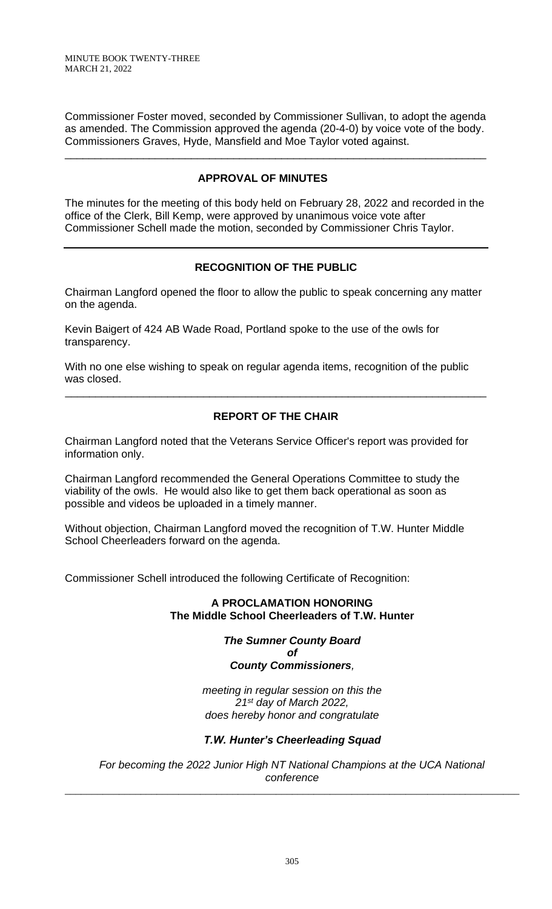Commissioner Foster moved, seconded by Commissioner Sullivan, to adopt the agenda as amended. The Commission approved the agenda (20-4-0) by voice vote of the body. Commissioners Graves, Hyde, Mansfield and Moe Taylor voted against.

\_\_\_\_\_\_\_\_\_\_\_\_\_\_\_\_\_\_\_\_\_\_\_\_\_\_\_\_\_\_\_\_\_\_\_\_\_\_\_\_\_\_\_\_\_\_\_\_\_\_\_\_\_\_\_\_\_\_\_\_\_\_\_\_\_\_\_\_\_\_

# **APPROVAL OF MINUTES**

The minutes for the meeting of this body held on February 28, 2022 and recorded in the office of the Clerk, Bill Kemp, were approved by unanimous voice vote after Commissioner Schell made the motion, seconded by Commissioner Chris Taylor.

## **RECOGNITION OF THE PUBLIC**

Chairman Langford opened the floor to allow the public to speak concerning any matter on the agenda.

Kevin Baigert of 424 AB Wade Road, Portland spoke to the use of the owls for transparency.

With no one else wishing to speak on regular agenda items, recognition of the public was closed.

# **REPORT OF THE CHAIR**

\_\_\_\_\_\_\_\_\_\_\_\_\_\_\_\_\_\_\_\_\_\_\_\_\_\_\_\_\_\_\_\_\_\_\_\_\_\_\_\_\_\_\_\_\_\_\_\_\_\_\_\_\_\_\_\_\_\_\_\_\_\_\_\_\_\_\_\_\_\_

Chairman Langford noted that the Veterans Service Officer's report was provided for information only.

Chairman Langford recommended the General Operations Committee to study the viability of the owls. He would also like to get them back operational as soon as possible and videos be uploaded in a timely manner.

Without objection, Chairman Langford moved the recognition of T.W. Hunter Middle School Cheerleaders forward on the agenda.

Commissioner Schell introduced the following Certificate of Recognition:

## **A PROCLAMATION HONORING The Middle School Cheerleaders of T.W. Hunter**

*The Sumner County Board of*

## *County Commissioners,*

*meeting in regular session on this the 21st day of March 2022, does hereby honor and congratulate*

## *T.W. Hunter's Cheerleading Squad*

*For becoming the 2022 Junior High NT National Champions at the UCA National conference*

\_\_\_\_\_\_\_\_\_\_\_\_\_\_\_\_\_\_\_\_\_\_\_\_\_\_\_\_\_\_\_\_\_\_\_\_\_\_\_\_\_\_\_\_\_\_\_\_\_\_\_\_\_\_\_\_\_\_\_\_\_\_\_\_\_\_\_\_\_\_\_\_\_\_\_\_\_\_\_\_\_\_\_\_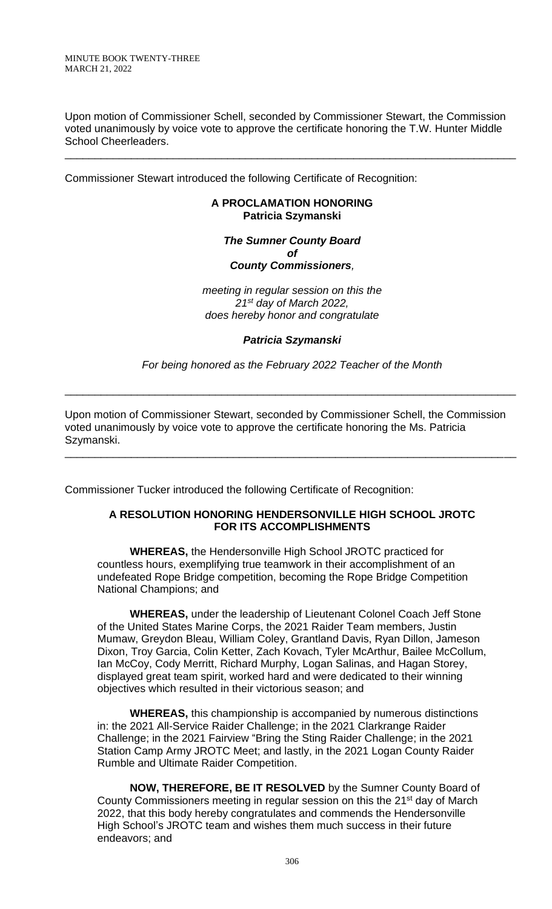Upon motion of Commissioner Schell, seconded by Commissioner Stewart, the Commission voted unanimously by voice vote to approve the certificate honoring the T.W. Hunter Middle School Cheerleaders.

\_\_\_\_\_\_\_\_\_\_\_\_\_\_\_\_\_\_\_\_\_\_\_\_\_\_\_\_\_\_\_\_\_\_\_\_\_\_\_\_\_\_\_\_\_\_\_\_\_\_\_\_\_\_\_\_\_\_\_\_\_\_\_\_\_\_\_\_\_\_\_\_\_\_\_

Commissioner Stewart introduced the following Certificate of Recognition:

### **A PROCLAMATION HONORING Patricia Szymanski**

#### *The Sumner County Board of County Commissioners,*

*meeting in regular session on this the 21st day of March 2022, does hereby honor and congratulate*

### *Patricia Szymanski*

*For being honored as the February 2022 Teacher of the Month*

\_\_\_\_\_\_\_\_\_\_\_\_\_\_\_\_\_\_\_\_\_\_\_\_\_\_\_\_\_\_\_\_\_\_\_\_\_\_\_\_\_\_\_\_\_\_\_\_\_\_\_\_\_\_\_\_\_\_\_\_\_\_\_\_\_\_\_\_\_\_\_\_\_\_\_

Upon motion of Commissioner Stewart, seconded by Commissioner Schell, the Commission voted unanimously by voice vote to approve the certificate honoring the Ms. Patricia Szymanski.

\_\_\_\_\_\_\_\_\_\_\_\_\_\_\_\_\_\_\_\_\_\_\_\_\_\_\_\_\_\_\_\_\_\_\_\_\_\_\_\_\_\_\_\_\_\_\_\_\_\_\_\_\_\_\_\_\_\_\_\_\_\_\_\_\_\_\_\_\_\_\_\_\_\_\_

Commissioner Tucker introduced the following Certificate of Recognition:

## **A RESOLUTION HONORING HENDERSONVILLE HIGH SCHOOL JROTC FOR ITS ACCOMPLISHMENTS**

**WHEREAS,** the Hendersonville High School JROTC practiced for countless hours, exemplifying true teamwork in their accomplishment of an undefeated Rope Bridge competition, becoming the Rope Bridge Competition National Champions; and

**WHEREAS,** under the leadership of Lieutenant Colonel Coach Jeff Stone of the United States Marine Corps, the 2021 Raider Team members, Justin Mumaw, Greydon Bleau, William Coley, Grantland Davis, Ryan Dillon, Jameson Dixon, Troy Garcia, Colin Ketter, Zach Kovach, Tyler McArthur, Bailee McCollum, Ian McCoy, Cody Merritt, Richard Murphy, Logan Salinas, and Hagan Storey, displayed great team spirit, worked hard and were dedicated to their winning objectives which resulted in their victorious season; and

**WHEREAS,** this championship is accompanied by numerous distinctions in: the 2021 All-Service Raider Challenge; in the 2021 Clarkrange Raider Challenge; in the 2021 Fairview "Bring the Sting Raider Challenge; in the 2021 Station Camp Army JROTC Meet; and lastly, in the 2021 Logan County Raider Rumble and Ultimate Raider Competition.

**NOW, THEREFORE, BE IT RESOLVED** by the Sumner County Board of County Commissioners meeting in regular session on this the 21<sup>st</sup> day of March 2022, that this body hereby congratulates and commends the Hendersonville High School's JROTC team and wishes them much success in their future endeavors; and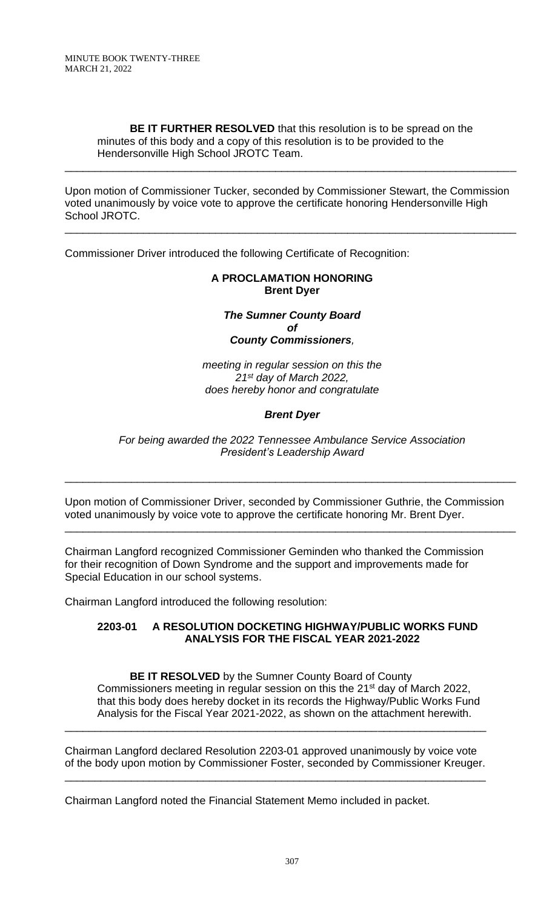**BE IT FURTHER RESOLVED** that this resolution is to be spread on the minutes of this body and a copy of this resolution is to be provided to the Hendersonville High School JROTC Team.

\_\_\_\_\_\_\_\_\_\_\_\_\_\_\_\_\_\_\_\_\_\_\_\_\_\_\_\_\_\_\_\_\_\_\_\_\_\_\_\_\_\_\_\_\_\_\_\_\_\_\_\_\_\_\_\_\_\_\_\_\_\_\_\_\_\_\_\_\_\_\_\_\_\_\_

Upon motion of Commissioner Tucker, seconded by Commissioner Stewart, the Commission voted unanimously by voice vote to approve the certificate honoring Hendersonville High School JROTC.

\_\_\_\_\_\_\_\_\_\_\_\_\_\_\_\_\_\_\_\_\_\_\_\_\_\_\_\_\_\_\_\_\_\_\_\_\_\_\_\_\_\_\_\_\_\_\_\_\_\_\_\_\_\_\_\_\_\_\_\_\_\_\_\_\_\_\_\_\_\_\_\_\_\_\_

Commissioner Driver introduced the following Certificate of Recognition:

### **A PROCLAMATION HONORING Brent Dyer**

*The Sumner County Board of County Commissioners,*

*meeting in regular session on this the 21st day of March 2022, does hereby honor and congratulate*

### *Brent Dyer*

#### *For being awarded the 2022 Tennessee Ambulance Service Association President's Leadership Award*

\_\_\_\_\_\_\_\_\_\_\_\_\_\_\_\_\_\_\_\_\_\_\_\_\_\_\_\_\_\_\_\_\_\_\_\_\_\_\_\_\_\_\_\_\_\_\_\_\_\_\_\_\_\_\_\_\_\_\_\_\_\_\_\_\_\_\_\_\_\_\_\_\_\_\_

Upon motion of Commissioner Driver, seconded by Commissioner Guthrie, the Commission voted unanimously by voice vote to approve the certificate honoring Mr. Brent Dyer.

\_\_\_\_\_\_\_\_\_\_\_\_\_\_\_\_\_\_\_\_\_\_\_\_\_\_\_\_\_\_\_\_\_\_\_\_\_\_\_\_\_\_\_\_\_\_\_\_\_\_\_\_\_\_\_\_\_\_\_\_\_\_\_\_\_\_\_\_\_\_\_\_\_\_\_

Chairman Langford recognized Commissioner Geminden who thanked the Commission for their recognition of Down Syndrome and the support and improvements made for Special Education in our school systems.

Chairman Langford introduced the following resolution:

### **2203-01 A RESOLUTION DOCKETING HIGHWAY/PUBLIC WORKS FUND ANALYSIS FOR THE FISCAL YEAR 2021-2022**

**BE IT RESOLVED** by the Sumner County Board of County Commissioners meeting in regular session on this the 21<sup>st</sup> day of March 2022, that this body does hereby docket in its records the Highway/Public Works Fund Analysis for the Fiscal Year 2021-2022, as shown on the attachment herewith.

Chairman Langford declared Resolution 2203-01 approved unanimously by voice vote of the body upon motion by Commissioner Foster, seconded by Commissioner Kreuger.

\_\_\_\_\_\_\_\_\_\_\_\_\_\_\_\_\_\_\_\_\_\_\_\_\_\_\_\_\_\_\_\_\_\_\_\_\_\_\_\_\_\_\_\_\_\_\_\_\_\_\_\_\_\_\_\_\_\_\_\_\_\_\_\_\_\_\_\_\_\_

\_\_\_\_\_\_\_\_\_\_\_\_\_\_\_\_\_\_\_\_\_\_\_\_\_\_\_\_\_\_\_\_\_\_\_\_\_\_\_\_\_\_\_\_\_\_\_\_\_\_\_\_\_\_\_\_\_\_\_\_\_\_\_\_\_\_\_\_\_\_

Chairman Langford noted the Financial Statement Memo included in packet.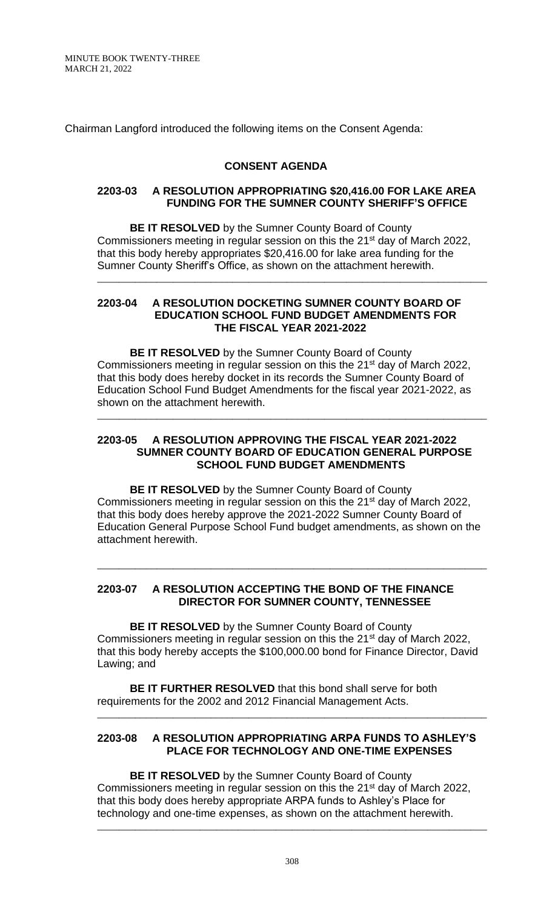MINUTE BOOK TWENTY-THREE MARCH 21, 2022

Chairman Langford introduced the following items on the Consent Agenda:

### **CONSENT AGENDA**

#### **2203-03 A RESOLUTION APPROPRIATING \$20,416.00 FOR LAKE AREA FUNDING FOR THE SUMNER COUNTY SHERIFF'S OFFICE**

**BE IT RESOLVED** by the Sumner County Board of County Commissioners meeting in regular session on this the 21<sup>st</sup> day of March 2022, that this body hereby appropriates \$20,416.00 for lake area funding for the Sumner County Sheriff's Office, as shown on the attachment herewith.

\_\_\_\_\_\_\_\_\_\_\_\_\_\_\_\_\_\_\_\_\_\_\_\_\_\_\_\_\_\_\_\_\_\_\_\_\_\_\_\_\_\_\_\_\_\_\_\_\_\_\_\_\_\_\_\_\_\_\_\_\_\_\_\_\_\_\_\_\_\_\_\_

#### **2203-04 A RESOLUTION DOCKETING SUMNER COUNTY BOARD OF EDUCATION SCHOOL FUND BUDGET AMENDMENTS FOR THE FISCAL YEAR 2021-2022**

**BE IT RESOLVED** by the Sumner County Board of County Commissioners meeting in regular session on this the 21<sup>st</sup> day of March 2022, that this body does hereby docket in its records the Sumner County Board of Education School Fund Budget Amendments for the fiscal year 2021-2022, as shown on the attachment herewith.

#### **2203-05 A RESOLUTION APPROVING THE FISCAL YEAR 2021-2022 SUMNER COUNTY BOARD OF EDUCATION GENERAL PURPOSE SCHOOL FUND BUDGET AMENDMENTS**

\_\_\_\_\_\_\_\_\_\_\_\_\_\_\_\_\_\_\_\_\_\_\_\_\_\_\_\_\_\_\_\_\_\_\_\_\_\_\_\_\_\_\_\_\_\_\_\_\_\_\_\_\_\_\_\_\_\_\_\_\_\_\_\_\_\_\_\_\_\_\_\_

**BE IT RESOLVED** by the Sumner County Board of County Commissioners meeting in regular session on this the 21<sup>st</sup> day of March 2022, that this body does hereby approve the 2021-2022 Sumner County Board of Education General Purpose School Fund budget amendments, as shown on the attachment herewith.

\_\_\_\_\_\_\_\_\_\_\_\_\_\_\_\_\_\_\_\_\_\_\_\_\_\_\_\_\_\_\_\_\_\_\_\_\_\_\_\_\_\_\_\_\_\_\_\_\_\_\_\_\_\_\_\_\_\_\_\_\_\_\_\_\_\_\_\_\_\_\_\_

### **2203-07 A RESOLUTION ACCEPTING THE BOND OF THE FINANCE DIRECTOR FOR SUMNER COUNTY, TENNESSEE**

**BE IT RESOLVED** by the Sumner County Board of County Commissioners meeting in regular session on this the 21<sup>st</sup> day of March 2022, that this body hereby accepts the \$100,000.00 bond for Finance Director, David Lawing; and

**BE IT FURTHER RESOLVED** that this bond shall serve for both requirements for the 2002 and 2012 Financial Management Acts.

## **2203-08 A RESOLUTION APPROPRIATING ARPA FUNDS TO ASHLEY'S PLACE FOR TECHNOLOGY AND ONE-TIME EXPENSES**

\_\_\_\_\_\_\_\_\_\_\_\_\_\_\_\_\_\_\_\_\_\_\_\_\_\_\_\_\_\_\_\_\_\_\_\_\_\_\_\_\_\_\_\_\_\_\_\_\_\_\_\_\_\_\_\_\_\_\_\_\_\_\_\_\_\_\_\_\_\_\_\_

**BE IT RESOLVED** by the Sumner County Board of County Commissioners meeting in regular session on this the 21<sup>st</sup> day of March 2022, that this body does hereby appropriate ARPA funds to Ashley's Place for technology and one-time expenses, as shown on the attachment herewith.

\_\_\_\_\_\_\_\_\_\_\_\_\_\_\_\_\_\_\_\_\_\_\_\_\_\_\_\_\_\_\_\_\_\_\_\_\_\_\_\_\_\_\_\_\_\_\_\_\_\_\_\_\_\_\_\_\_\_\_\_\_\_\_\_\_\_\_\_\_\_\_\_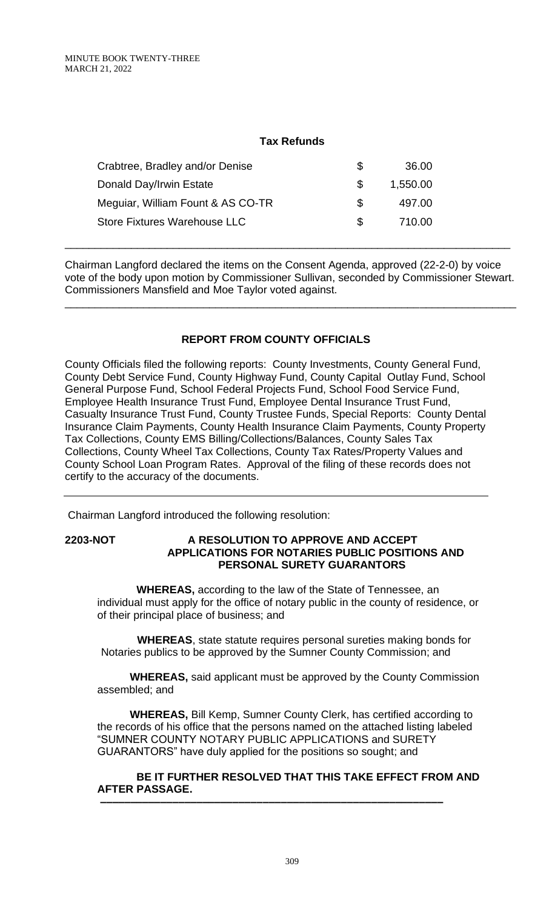## **Tax Refunds**

| Crabtree, Bradley and/or Denise     | Ж, | 36.00    |
|-------------------------------------|----|----------|
| Donald Day/Irwin Estate             | æ. | 1,550.00 |
| Meguiar, William Fount & AS CO-TR   | S. | 497.00   |
| <b>Store Fixtures Warehouse LLC</b> | S. | 710.00   |

Chairman Langford declared the items on the Consent Agenda, approved (22-2-0) by voice vote of the body upon motion by Commissioner Sullivan, seconded by Commissioner Stewart. Commissioners Mansfield and Moe Taylor voted against.

\_\_\_\_\_\_\_\_\_\_\_\_\_\_\_\_\_\_\_\_\_\_\_\_\_\_\_\_\_\_\_\_\_\_\_\_\_\_\_\_\_\_\_\_\_\_\_\_\_\_\_\_\_\_\_\_\_\_\_\_\_\_\_\_\_\_\_\_\_\_\_\_\_\_\_

\_\_\_\_\_\_\_\_\_\_\_\_\_\_\_\_\_\_\_\_\_\_\_\_\_\_\_\_\_\_\_\_\_\_\_\_\_\_\_\_\_\_\_\_\_\_\_\_\_\_\_\_\_\_\_\_\_\_\_\_\_\_\_\_\_\_\_\_\_\_\_\_\_\_

# **REPORT FROM COUNTY OFFICIALS**

County Officials filed the following reports: County Investments, County General Fund, County Debt Service Fund, County Highway Fund, County Capital Outlay Fund, School General Purpose Fund, School Federal Projects Fund, School Food Service Fund, Employee Health Insurance Trust Fund, Employee Dental Insurance Trust Fund, Casualty Insurance Trust Fund, County Trustee Funds, Special Reports: County Dental Insurance Claim Payments, County Health Insurance Claim Payments, County Property Tax Collections, County EMS Billing/Collections/Balances, County Sales Tax Collections, County Wheel Tax Collections, County Tax Rates/Property Values and County School Loan Program Rates. Approval of the filing of these records does not certify to the accuracy of the documents.

Chairman Langford introduced the following resolution:

#### **2203-NOT A RESOLUTION TO APPROVE AND ACCEPT APPLICATIONS FOR NOTARIES PUBLIC POSITIONS AND PERSONAL SURETY GUARANTORS**

 **WHEREAS,** according to the law of the State of Tennessee, an individual must apply for the office of notary public in the county of residence, or of their principal place of business; and

 **WHEREAS**, state statute requires personal sureties making bonds for Notaries publics to be approved by the Sumner County Commission; and

**WHEREAS,** said applicant must be approved by the County Commission assembled; and

**WHEREAS,** Bill Kemp, Sumner County Clerk, has certified according to the records of his office that the persons named on the attached listing labeled "SUMNER COUNTY NOTARY PUBLIC APPLICATIONS and SURETY GUARANTORS" have duly applied for the positions so sought; and

 **BE IT FURTHER RESOLVED THAT THIS TAKE EFFECT FROM AND AFTER PASSAGE.**

 **–––––––––––––––––––––––––––––––––––––––––––––––––––––––––**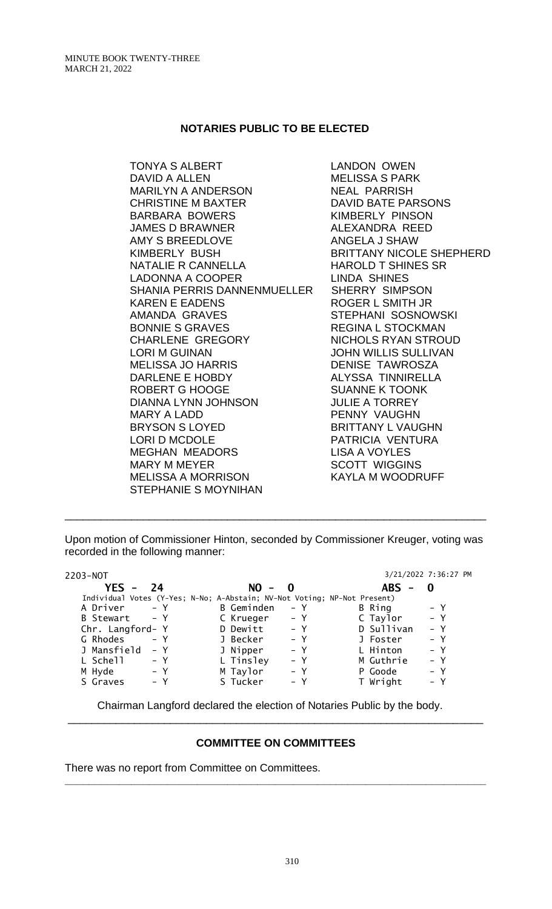### **NOTARIES PUBLIC TO BE ELECTED**

TONYA S ALBERT LANDON OWEN DAVID A ALLEN MELISSA S PARK MARILYN A ANDERSON NEAL PARRISH CHRISTINE M BAXTER DAVID BATE PARSONS BARBARA BOWERS KIMBERLY PINSON JAMES D BRAWNER ALEXANDRA REED AMY S BREEDLOVE ANGELA J SHAW NATALIE R CANNELLA HAROLD T SHINES SR LADONNA A COOPER LINDA SHINES SHANIA PERRIS DANNENMUELLER SHERRY SIMPSON KAREN E EADENS ROGER L SMITH JR AMANDA GRAVES STEPHANI SOSNOWSKI BONNIE S GRAVES REGINA L STOCKMAN CHARLENE GREGORY NICHOLS RYAN STROUD LORI M GUINAN JOHN WILLIS SULLIVAN MELISSA JO HARRIS DENISE TAWROSZA DARLENE E HOBDY ALYSSA TINNIRELLA ROBERT G HOOGE SUANNE K TOONK DIANNA LYNN JOHNSON JULIE A TORREY MARY A LADD PENNY VAUGHN BRYSON S LOYED BRITTANY L VAUGHN<br>LORI D MCDOLE LORI PATRICIA VENTURA MEGHAN MEADORS LISA A VOYLES MARY M MEYER SCOTT WIGGINS MELISSA A MORRISON KAYLA M WOODRUFF STEPHANIE S MOYNIHAN

BRITTANY NICOLE SHEPHERD PATRICIA VENTURA

Upon motion of Commissioner Hinton, seconded by Commissioner Kreuger, voting was recorded in the following manner:

\_\_\_\_\_\_\_\_\_\_\_\_\_\_\_\_\_\_\_\_\_\_\_\_\_\_\_\_\_\_\_\_\_\_\_\_\_\_\_\_\_\_\_\_\_\_\_\_\_\_\_\_\_\_\_\_\_\_\_\_\_\_\_\_\_\_\_\_\_\_

| 2203-NOT                                                                 |            |       |            | 3/21/2022 7:36:27 PM |
|--------------------------------------------------------------------------|------------|-------|------------|----------------------|
| $YES -$<br>24                                                            | $NO -$     | - 0   | ABS.<br>-  |                      |
| Individual Votes (Y-Yes; N-No; A-Abstain; NV-Not Voting; NP-Not Present) |            |       |            |                      |
| A Driver<br>$- Y$                                                        | B Geminden | – Y   | B Ring     | – Y                  |
| B Stewart - Y                                                            | C Krueger  | $- Y$ | C Taylor   | $- Y$                |
| Chr. Langford- Y                                                         | D Dewitt   | $- Y$ | D Sullivan | $- Y$                |
| G Rhodes<br>$- Y$                                                        | J Becker   | $- Y$ | J Foster   | $- Y$                |
| J Mansfield<br>– Y                                                       | J Nipper   | $- Y$ | L Hinton   | $- Y$                |
| L Schell<br>– Y                                                          | L Tinsley  | $- Y$ | M Guthrie  | $- Y$                |
| M Hyde<br>– Y                                                            | M Taylor   | $- Y$ | P Goode    | $- Y$                |
| S Graves<br>– Y                                                          | S Tucker   | – Y   | T Wright   | – Y                  |
|                                                                          |            |       |            |                      |

Chairman Langford declared the election of Notaries Public by the body.

#### **COMMITTEE ON COMMITTEES**

**\_\_\_\_\_\_\_\_\_\_\_\_\_\_\_\_\_\_\_\_\_\_\_\_\_\_\_\_\_\_\_\_\_\_\_\_\_\_\_\_\_\_\_\_\_\_\_\_\_\_\_\_\_\_\_\_\_\_\_\_\_\_\_\_\_\_\_\_\_\_**

\_\_\_\_\_\_\_\_\_\_\_\_\_\_\_\_\_\_\_\_\_\_\_\_\_\_\_\_\_\_\_\_\_\_\_\_\_\_\_\_\_\_\_\_\_\_\_\_\_\_\_\_\_\_\_\_\_\_\_\_\_\_\_\_\_\_\_\_\_

There was no report from Committee on Committees.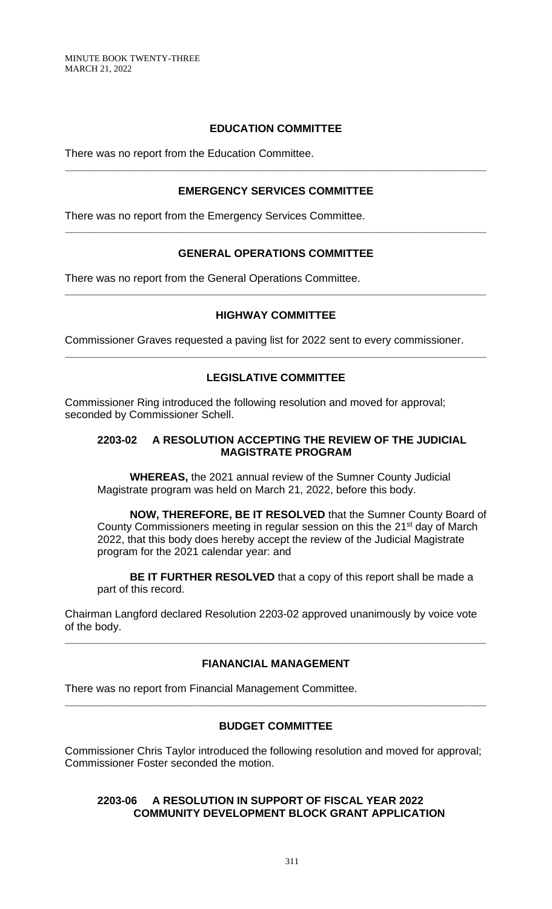# **EDUCATION COMMITTEE**

There was no report from the Education Committee.

## **EMERGENCY SERVICES COMMITTEE**

**\_\_\_\_\_\_\_\_\_\_\_\_\_\_\_\_\_\_\_\_\_\_\_\_\_\_\_\_\_\_\_\_\_\_\_\_\_\_\_\_\_\_\_\_\_\_\_\_\_\_\_\_\_\_\_\_\_\_\_\_\_\_\_\_\_\_\_\_\_\_**

There was no report from the Emergency Services Committee.

## **GENERAL OPERATIONS COMMITTEE**

**\_\_\_\_\_\_\_\_\_\_\_\_\_\_\_\_\_\_\_\_\_\_\_\_\_\_\_\_\_\_\_\_\_\_\_\_\_\_\_\_\_\_\_\_\_\_\_\_\_\_\_\_\_\_\_\_\_\_\_\_\_\_\_\_\_\_\_\_\_\_**

There was no report from the General Operations Committee.

## **HIGHWAY COMMITTEE**

**\_\_\_\_\_\_\_\_\_\_\_\_\_\_\_\_\_\_\_\_\_\_\_\_\_\_\_\_\_\_\_\_\_\_\_\_\_\_\_\_\_\_\_\_\_\_\_\_\_\_\_\_\_\_\_\_\_\_\_\_\_\_\_\_\_\_\_\_\_\_**

Commissioner Graves requested a paving list for 2022 sent to every commissioner.

# **LEGISLATIVE COMMITTEE**

**\_\_\_\_\_\_\_\_\_\_\_\_\_\_\_\_\_\_\_\_\_\_\_\_\_\_\_\_\_\_\_\_\_\_\_\_\_\_\_\_\_\_\_\_\_\_\_\_\_\_\_\_\_\_\_\_\_\_\_\_\_\_\_\_\_\_\_\_\_\_**

Commissioner Ring introduced the following resolution and moved for approval; seconded by Commissioner Schell.

### **2203-02 A RESOLUTION ACCEPTING THE REVIEW OF THE JUDICIAL MAGISTRATE PROGRAM**

**WHEREAS,** the 2021 annual review of the Sumner County Judicial Magistrate program was held on March 21, 2022, before this body.

**NOW, THEREFORE, BE IT RESOLVED** that the Sumner County Board of County Commissioners meeting in regular session on this the 21<sup>st</sup> day of March 2022, that this body does hereby accept the review of the Judicial Magistrate program for the 2021 calendar year: and

**BE IT FURTHER RESOLVED** that a copy of this report shall be made a part of this record.

Chairman Langford declared Resolution 2203-02 approved unanimously by voice vote of the body.

## **FIANANCIAL MANAGEMENT**

**\_\_\_\_\_\_\_\_\_\_\_\_\_\_\_\_\_\_\_\_\_\_\_\_\_\_\_\_\_\_\_\_\_\_\_\_\_\_\_\_\_\_\_\_\_\_\_\_\_\_\_\_\_\_\_\_\_\_\_\_\_\_\_\_\_\_\_\_\_\_**

There was no report from Financial Management Committee.

## **BUDGET COMMITTEE**

**\_\_\_\_\_\_\_\_\_\_\_\_\_\_\_\_\_\_\_\_\_\_\_\_\_\_\_\_\_\_\_\_\_\_\_\_\_\_\_\_\_\_\_\_\_\_\_\_\_\_\_\_\_\_\_\_\_\_\_\_\_\_\_\_\_\_\_\_\_\_**

Commissioner Chris Taylor introduced the following resolution and moved for approval; Commissioner Foster seconded the motion.

### **2203-06 A RESOLUTION IN SUPPORT OF FISCAL YEAR 2022 COMMUNITY DEVELOPMENT BLOCK GRANT APPLICATION**